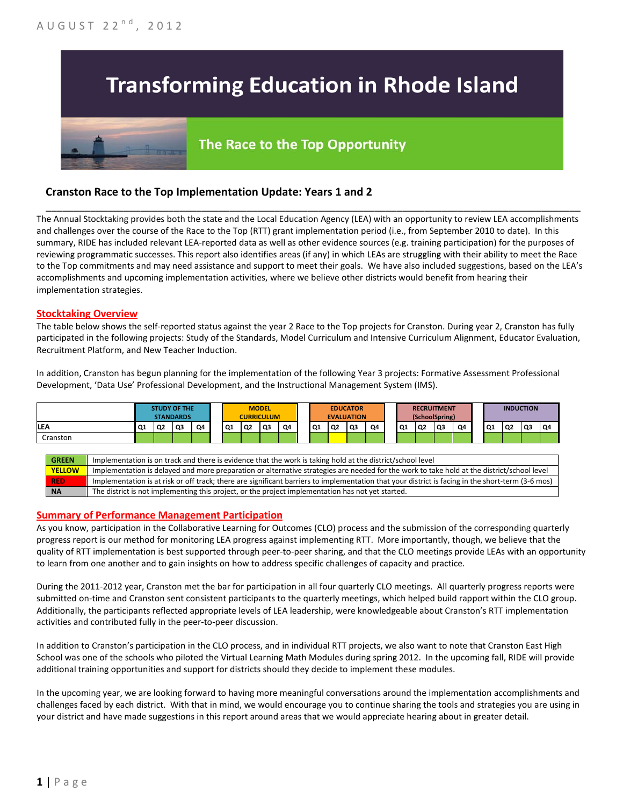# **Transforming Education in Rhode Island**

# The Race to the Top Opportunity

## **Cranston Race to the Top Implementation Update: Years 1 and 2**

The Annual Stocktaking provides both the state and the Local Education Agency (LEA) with an opportunity to review LEA accomplishments and challenges over the course of the Race to the Top (RTT) grant implementation period (i.e., from September 2010 to date). In this summary, RIDE has included relevant LEA-reported data as well as other evidence sources (e.g. training participation) for the purposes of reviewing programmatic successes. This report also identifies areas (if any) in which LEAs are struggling with their ability to meet the Race to the Top commitments and may need assistance and support to meet their goals. We have also included suggestions, based on the LEA's accomplishments and upcoming implementation activities, where we believe other districts would benefit from hearing their implementation strategies.

\_\_\_\_\_\_\_\_\_\_\_\_\_\_\_\_\_\_\_\_\_\_\_\_\_\_\_\_\_\_\_\_\_\_\_\_\_\_\_\_\_\_\_\_\_\_\_\_\_\_\_\_\_\_\_\_\_\_\_\_\_\_\_\_\_\_\_\_\_\_\_\_\_\_\_\_\_\_\_\_\_\_\_\_\_\_\_\_\_\_\_\_\_\_\_\_

#### **Stocktaking Overview**

The table below shows the self-reported status against the year 2 Race to the Top projects for Cranston. During year 2, Cranston has fully participated in the following projects: Study of the Standards, Model Curriculum and Intensive Curriculum Alignment, Educator Evaluation, Recruitment Platform, and New Teacher Induction.

In addition, Cranston has begun planning for the implementation of the following Year 3 projects: Formative Assessment Professional Development, 'Data Use' Professional Development, and the Instructional Management System (IMS).



#### **Summary of Performance Management Participation**

As you know, participation in the Collaborative Learning for Outcomes (CLO) process and the submission of the corresponding quarterly progress report is our method for monitoring LEA progress against implementing RTT. More importantly, though, we believe that the quality of RTT implementation is best supported through peer-to-peer sharing, and that the CLO meetings provide LEAs with an opportunity to learn from one another and to gain insights on how to address specific challenges of capacity and practice.

During the 2011-2012 year, Cranston met the bar for participation in all four quarterly CLO meetings. All quarterly progress reports were submitted on-time and Cranston sent consistent participants to the quarterly meetings, which helped build rapport within the CLO group. Additionally, the participants reflected appropriate levels of LEA leadership, were knowledgeable about Cranston's RTT implementation activities and contributed fully in the peer-to-peer discussion.

In addition to Cranston's participation in the CLO process, and in individual RTT projects, we also want to note that Cranston East High School was one of the schools who piloted the Virtual Learning Math Modules during spring 2012. In the upcoming fall, RIDE will provide additional training opportunities and support for districts should they decide to implement these modules.

In the upcoming year, we are looking forward to having more meaningful conversations around the implementation accomplishments and challenges faced by each district. With that in mind, we would encourage you to continue sharing the tools and strategies you are using in your district and have made suggestions in this report around areas that we would appreciate hearing about in greater detail.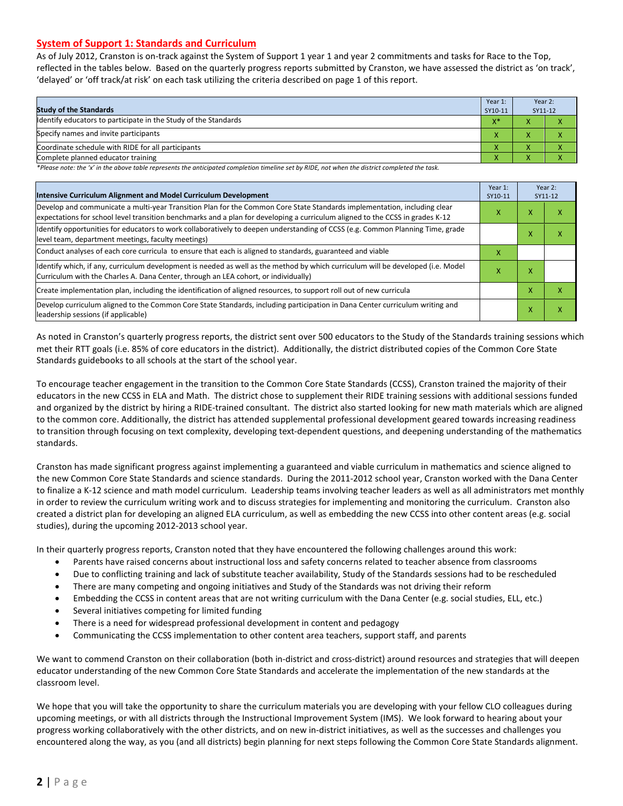#### **System of Support 1: Standards and Curriculum**

As of July 2012, Cranston is on-track against the System of Support 1 year 1 and year 2 commitments and tasks for Race to the Top, reflected in the tables below. Based on the quarterly progress reports submitted by Cranston, we have assessed the district as 'on track', 'delayed' or 'off track/at risk' on each task utilizing the criteria described on page 1 of this report.

| <b>Study of the Standards</b>                                   | Year 1:<br>SY10-11 | Year 2:<br>SY11-12 |  |
|-----------------------------------------------------------------|--------------------|--------------------|--|
| Identify educators to participate in the Study of the Standards | $X^*$              |                    |  |
| Specify names and invite participants                           | $\mathbf{v}$       |                    |  |
| Coordinate schedule with RIDE for all participants              |                    |                    |  |
| Complete planned educator training                              | $\mathbf{\Lambda}$ | ∧                  |  |

*\*Please note: the 'x' in the above table represents the anticipated completion timeline set by RIDE, not when the district completed the task.*

| Intensive Curriculum Alignment and Model Curriculum Development                                                                                                                                                                                           |   |   | Year 2:<br>SY11-12 |
|-----------------------------------------------------------------------------------------------------------------------------------------------------------------------------------------------------------------------------------------------------------|---|---|--------------------|
| Develop and communicate a multi-year Transition Plan for the Common Core State Standards implementation, including clear<br>expectations for school level transition benchmarks and a plan for developing a curriculum aligned to the CCSS in grades K-12 | x | x | ⋏                  |
| Identify opportunities for educators to work collaboratively to deepen understanding of CCSS (e.g. Common Planning Time, grade<br>level team, department meetings, faculty meetings)                                                                      |   |   |                    |
| Conduct analyses of each core curricula to ensure that each is aligned to standards, guaranteed and viable                                                                                                                                                | X |   |                    |
| ldentify which, if any, curriculum development is needed as well as the method by which curriculum will be developed (i.e. Model<br>Curriculum with the Charles A. Dana Center, through an LEA cohort, or individually)                                   | x | x |                    |
| Create implementation plan, including the identification of aligned resources, to support roll out of new curricula                                                                                                                                       |   | x | χ                  |
| Develop curriculum aligned to the Common Core State Standards, including participation in Dana Center curriculum writing and<br>leadership sessions (if applicable)                                                                                       |   | x | χ                  |

As noted in Cranston's quarterly progress reports, the district sent over 500 educators to the Study of the Standards training sessions which met their RTT goals (i.e. 85% of core educators in the district). Additionally, the district distributed copies of the Common Core State Standards guidebooks to all schools at the start of the school year.

To encourage teacher engagement in the transition to the Common Core State Standards (CCSS), Cranston trained the majority of their educators in the new CCSS in ELA and Math. The district chose to supplement their RIDE training sessions with additional sessions funded and organized by the district by hiring a RIDE-trained consultant. The district also started looking for new math materials which are aligned to the common core. Additionally, the district has attended supplemental professional development geared towards increasing readiness to transition through focusing on text complexity, developing text-dependent questions, and deepening understanding of the mathematics standards.

Cranston has made significant progress against implementing a guaranteed and viable curriculum in mathematics and science aligned to the new Common Core State Standards and science standards. During the 2011-2012 school year, Cranston worked with the Dana Center to finalize a K-12 science and math model curriculum. Leadership teams involving teacher leaders as well as all administrators met monthly in order to review the curriculum writing work and to discuss strategies for implementing and monitoring the curriculum. Cranston also created a district plan for developing an aligned ELA curriculum, as well as embedding the new CCSS into other content areas (e.g. social studies), during the upcoming 2012-2013 school year.

In their quarterly progress reports, Cranston noted that they have encountered the following challenges around this work:

- Parents have raised concerns about instructional loss and safety concerns related to teacher absence from classrooms
- Due to conflicting training and lack of substitute teacher availability, Study of the Standards sessions had to be rescheduled
- There are many competing and ongoing initiatives and Study of the Standards was not driving their reform
- Embedding the CCSS in content areas that are not writing curriculum with the Dana Center (e.g. social studies, ELL, etc.)
- Several initiatives competing for limited funding
- There is a need for widespread professional development in content and pedagogy
- Communicating the CCSS implementation to other content area teachers, support staff, and parents

We want to commend Cranston on their collaboration (both in-district and cross-district) around resources and strategies that will deepen educator understanding of the new Common Core State Standards and accelerate the implementation of the new standards at the classroom level.

We hope that you will take the opportunity to share the curriculum materials you are developing with your fellow CLO colleagues during upcoming meetings, or with all districts through the Instructional Improvement System (IMS). We look forward to hearing about your progress working collaboratively with the other districts, and on new in-district initiatives, as well as the successes and challenges you encountered along the way, as you (and all districts) begin planning for next steps following the Common Core State Standards alignment.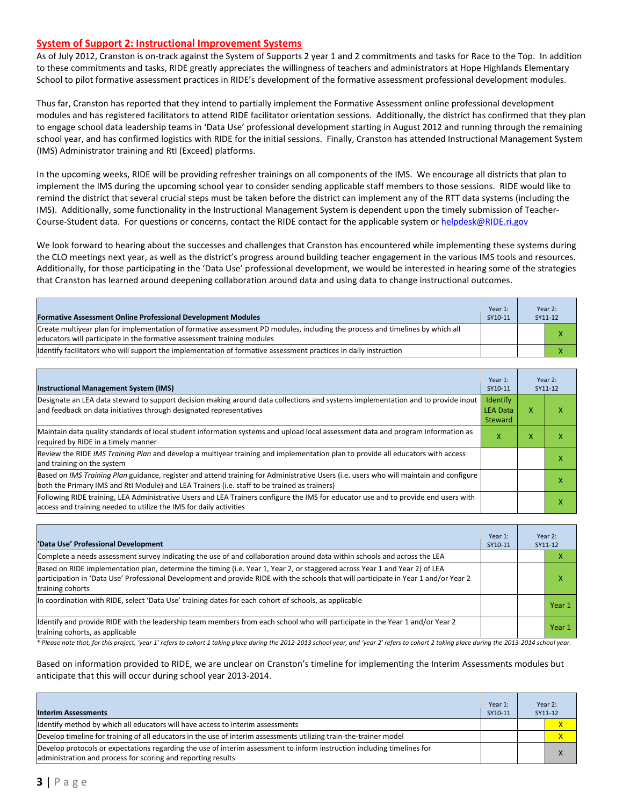#### **System of Support 2: Instructional Improvement Systems**

As of July 2012, Cranston is on-track against the System of Supports 2 year 1 and 2 commitments and tasks for Race to the Top. In addition to these commitments and tasks, RIDE greatly appreciates the willingness of teachers and administrators at Hope Highlands Elementary School to pilot formative assessment practices in RIDE's development of the formative assessment professional development modules.

Thus far, Cranston has reported that they intend to partially implement the Formative Assessment online professional development modules and has registered facilitators to attend RIDE facilitator orientation sessions. Additionally, the district has confirmed that they plan to engage school data leadership teams in 'Data Use' professional development starting in August 2012 and running through the remaining school year, and has confirmed logistics with RIDE for the initial sessions. Finally, Cranston has attended Instructional Management System (IMS) Administrator training and RtI (Exceed) platforms.

In the upcoming weeks, RIDE will be providing refresher trainings on all components of the IMS. We encourage all districts that plan to implement the IMS during the upcoming school year to consider sending applicable staff members to those sessions. RIDE would like to remind the district that several crucial steps must be taken before the district can implement any of the RTT data systems (including the IMS). Additionally, some functionality in the Instructional Management System is dependent upon the timely submission of TeacherCourse-Student data. For questions or concerns, contact the RIDE contact for the applicable system o[r helpdesk@RIDE.ri.gov](mailto:helpdesk@RIDE.ri.gov)

We look forward to hearing about the successes and challenges that Cranston has encountered while implementing these systems during the CLO meetings next year, as well as the district's progress around building teacher engagement in the various IMS tools and resources. Additionally, for those participating in the 'Data Use' professional development, we would be interested in hearing some of the strategies that Cranston has learned around deepening collaboration around data and using data to change instructional outcomes.

| <b>Formative Assessment Online Professional Development Modules</b>                                                                                                                                      | Year 1:<br>SY10-11 | Year 2:<br>SY11-12 |
|----------------------------------------------------------------------------------------------------------------------------------------------------------------------------------------------------------|--------------------|--------------------|
| Create multiyear plan for implementation of formative assessment PD modules, including the process and timelines by which all<br>educators will participate in the formative assessment training modules |                    |                    |
| ldentify facilitators who will support the implementation of formative assessment practices in daily instruction                                                                                         |                    |                    |

| <b>Instructional Management System (IMS)</b>                                                                                                                                                                                           |                                               |                             | Year 2:<br>SY11-12 |
|----------------------------------------------------------------------------------------------------------------------------------------------------------------------------------------------------------------------------------------|-----------------------------------------------|-----------------------------|--------------------|
| Designate an LEA data steward to support decision making around data collections and systems implementation and to provide input<br>and feedback on data initiatives through designated representatives                                | <b>Identify</b><br><b>LEA Data</b><br>Steward | X                           | ⋏                  |
| Maintain data quality standards of local student information systems and upload local assessment data and program information as<br>required by RIDE in a timely manner                                                                | x                                             | $\checkmark$<br>$\mathbf x$ | ⋏                  |
| Review the RIDE IMS Training Plan and develop a multivear training and implementation plan to provide all educators with access<br>and training on the system                                                                          |                                               |                             |                    |
| Based on IMS Training Plan guidance, register and attend training for Administrative Users (i.e. users who will maintain and configure<br>both the Primary IMS and RtI Module) and LEA Trainers (i.e. staff to be trained as trainers) |                                               |                             |                    |
| Following RIDE training, LEA Administrative Users and LEA Trainers configure the IMS for educator use and to provide end users with<br>access and training needed to utilize the IMS for daily activities                              |                                               |                             |                    |

| 'Data Use' Professional Development                                                                                                                                                                                                                                                     | Year 1:<br>SY10-11 | Year 2:<br>SY11-12 |        |
|-----------------------------------------------------------------------------------------------------------------------------------------------------------------------------------------------------------------------------------------------------------------------------------------|--------------------|--------------------|--------|
| Complete a needs assessment survey indicating the use of and collaboration around data within schools and across the LEA                                                                                                                                                                |                    |                    | ⋏      |
| Based on RIDE implementation plan, determine the timing (i.e. Year 1, Year 2, or staggered across Year 1 and Year 2) of LEA<br>participation in 'Data Use' Professional Development and provide RIDE with the schools that will participate in Year 1 and/or Year 2<br>training cohorts |                    |                    | x      |
| In coordination with RIDE, select 'Data Use' training dates for each cohort of schools, as applicable                                                                                                                                                                                   |                    |                    | Year 1 |
| Ildentify and provide RIDE with the leadership team members from each school who will participate in the Year 1 and/or Year 2<br>training cohorts, as applicable                                                                                                                        |                    |                    | Year 1 |

*\* Please note that, for this project, 'year 1' refers to cohort 1 taking place during the 2012-2013 school year, and 'year 2' refers to cohort 2 taking place during the 2013-2014 school year.*

Based on information provided to RIDE, we are unclear on Cranston's timeline for implementing the Interim Assessments modules but anticipate that this will occur during school year 2013-2014.

| <b>Interim Assessments</b>                                                                                                                                                              | Year 1:<br>SY10-11 | Year 2:<br>SY11-12 |
|-----------------------------------------------------------------------------------------------------------------------------------------------------------------------------------------|--------------------|--------------------|
| Identify method by which all educators will have access to interim assessments                                                                                                          |                    | $\mathsf{x}$       |
| Develop timeline for training of all educators in the use of interim assessments utilizing train-the-trainer model                                                                      |                    | x                  |
| Develop protocols or expectations regarding the use of interim assessment to inform instruction including timelines for<br>administration and process for scoring and reporting results |                    |                    |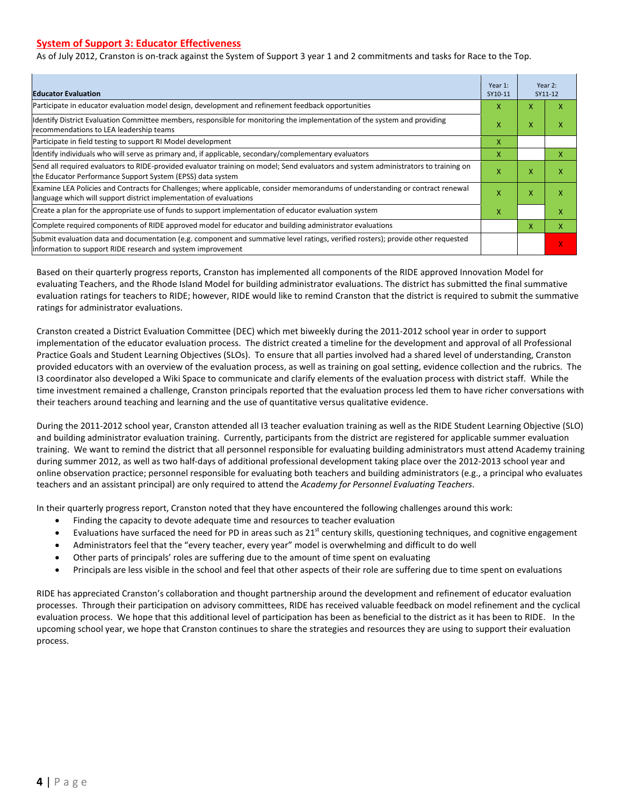#### **System of Support 3: Educator Effectiveness**

As of July 2012, Cranston is on-track against the System of Support 3 year 1 and 2 commitments and tasks for Race to the Top.

| <b>Educator Evaluation</b>                                                                                                                                                                           |   |   | Year 2:<br>SY11-12 |
|------------------------------------------------------------------------------------------------------------------------------------------------------------------------------------------------------|---|---|--------------------|
| Participate in educator evaluation model design, development and refinement feedback opportunities                                                                                                   | x | X | x                  |
| Identify District Evaluation Committee members, responsible for monitoring the implementation of the system and providing<br>recommendations to LEA leadership teams                                 | X | X | χ                  |
| Participate in field testing to support RI Model development                                                                                                                                         | x |   |                    |
| ldentify individuals who will serve as primary and, if applicable, secondary/complementary evaluators                                                                                                | x |   | x                  |
| Send all required evaluators to RIDE-provided evaluator training on model; Send evaluators and system administrators to training on<br>the Educator Performance Support System (EPSS) data system    | X | X | X                  |
| Examine LEA Policies and Contracts for Challenges; where applicable, consider memorandums of understanding or contract renewal<br>language which will support district implementation of evaluations |   | X | x                  |
| Create a plan for the appropriate use of funds to support implementation of educator evaluation system                                                                                               |   |   | x                  |
| Complete required components of RIDE approved model for educator and building administrator evaluations                                                                                              |   | X | X                  |
| Submit evaluation data and documentation (e.g. component and summative level ratings, verified rosters); provide other requested<br>information to support RIDE research and system improvement      |   |   | x                  |

Based on their quarterly progress reports, Cranston has implemented all components of the RIDE approved Innovation Model for evaluating Teachers, and the Rhode Island Model for building administrator evaluations. The district has submitted the final summative evaluation ratings for teachers to RIDE; however, RIDE would like to remind Cranston that the district is required to submit the summative ratings for administrator evaluations.

Cranston created a District Evaluation Committee (DEC) which met biweekly during the 2011-2012 school year in order to support implementation of the educator evaluation process. The district created a timeline for the development and approval of all Professional Practice Goals and Student Learning Objectives (SLOs). To ensure that all parties involved had a shared level of understanding, Cranston provided educators with an overview of the evaluation process, as well as training on goal setting, evidence collection and the rubrics. The I3 coordinator also developed a Wiki Space to communicate and clarify elements of the evaluation process with district staff. While the time investment remained a challenge, Cranston principals reported that the evaluation process led them to have richer conversations with their teachers around teaching and learning and the use of quantitative versus qualitative evidence.

During the 2011-2012 school year, Cranston attended all I3 teacher evaluation training as well as the RIDE Student Learning Objective (SLO) and building administrator evaluation training. Currently, participants from the district are registered for applicable summer evaluation training. We want to remind the district that all personnel responsible for evaluating building administrators must attend Academy training during summer 2012, as well as two half-days of additional professional development taking place over the 2012-2013 school year and online observation practice; personnel responsible for evaluating both teachers and building administrators (e.g., a principal who evaluates teachers and an assistant principal) are only required to attend the *Academy for Personnel Evaluating Teachers*.

In their quarterly progress report, Cranston noted that they have encountered the following challenges around this work:

- Finding the capacity to devote adequate time and resources to teacher evaluation
- Evaluations have surfaced the need for PD in areas such as 21<sup>st</sup> century skills, questioning techniques, and cognitive engagement
- Administrators feel that the "every teacher, every year" model is overwhelming and difficult to do well
- Other parts of principals' roles are suffering due to the amount of time spent on evaluating
- Principals are less visible in the school and feel that other aspects of their role are suffering due to time spent on evaluations

RIDE has appreciated Cranston's collaboration and thought partnership around the development and refinement of educator evaluation processes. Through their participation on advisory committees, RIDE has received valuable feedback on model refinement and the cyclical evaluation process. We hope that this additional level of participation has been as beneficial to the district as it has been to RIDE. In the upcoming school year, we hope that Cranston continues to share the strategies and resources they are using to support their evaluation process.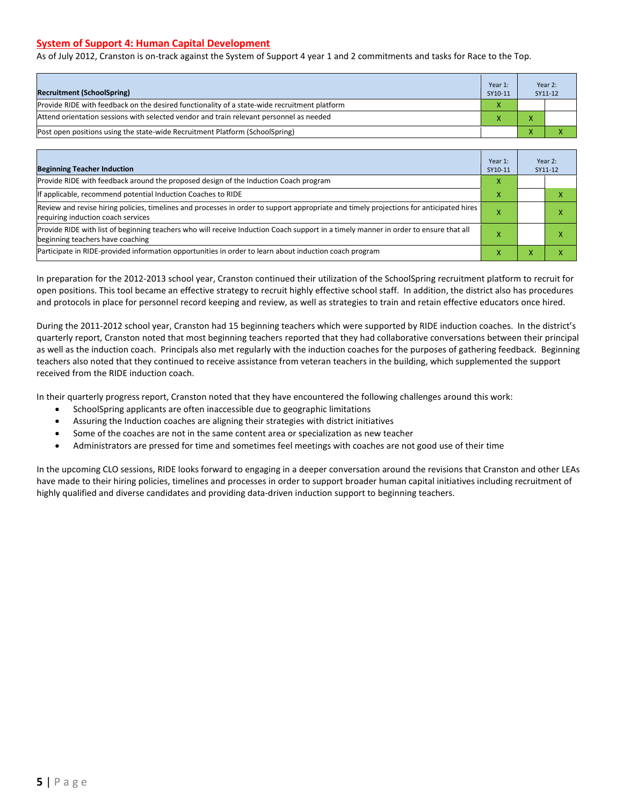#### **System of Support 4: Human Capital Development**

As of July 2012, Cranston is on-track against the System of Support 4 year 1 and 2 commitments and tasks for Race to the Top.

|                                                                                              | Year 1: | Year 2: |
|----------------------------------------------------------------------------------------------|---------|---------|
| <b>Recruitment (SchoolSpring)</b>                                                            | SY10-11 | SY11-12 |
| Provide RIDE with feedback on the desired functionality of a state-wide recruitment platform |         |         |
| Attend orientation sessions with selected vendor and train relevant personnel as needed      |         |         |
| [Post open positions using the state-wide Recruitment Platform (SchoolSpring)                |         |         |

| <b>Beginning Teacher Induction</b>                                                                                                                                            | Year 1:<br>SY10-11 |           | Year 2:<br>SY11-12 |
|-------------------------------------------------------------------------------------------------------------------------------------------------------------------------------|--------------------|-----------|--------------------|
| Provide RIDE with feedback around the proposed design of the Induction Coach program                                                                                          |                    |           |                    |
| If applicable, recommend potential Induction Coaches to RIDE                                                                                                                  | X                  |           |                    |
| Review and revise hiring policies, timelines and processes in order to support appropriate and timely projections for anticipated hires<br>requiring induction coach services | x                  |           | л                  |
| Provide RIDE with list of beginning teachers who will receive Induction Coach support in a timely manner in order to ensure that all<br>beginning teachers have coaching      |                    |           |                    |
| Participate in RIDE-provided information opportunities in order to learn about induction coach program                                                                        | v                  | $\lambda$ |                    |

In preparation for the 2012-2013 school year, Cranston continued their utilization of the SchoolSpring recruitment platform to recruit for open positions. This tool became an effective strategy to recruit highly effective school staff. In addition, the district also has procedures and protocols in place for personnel record keeping and review, as well as strategies to train and retain effective educators once hired.

During the 2011-2012 school year, Cranston had 15 beginning teachers which were supported by RIDE induction coaches. In the district's quarterly report, Cranston noted that most beginning teachers reported that they had collaborative conversations between their principal as well as the induction coach. Principals also met regularly with the induction coaches for the purposes of gathering feedback. Beginning teachers also noted that they continued to receive assistance from veteran teachers in the building, which supplemented the support received from the RIDE induction coach.

In their quarterly progress report, Cranston noted that they have encountered the following challenges around this work:

- SchoolSpring applicants are often inaccessible due to geographic limitations
- Assuring the Induction coaches are aligning their strategies with district initiatives
- Some of the coaches are not in the same content area or specialization as new teacher
- Administrators are pressed for time and sometimes feel meetings with coaches are not good use of their time

In the upcoming CLO sessions, RIDE looks forward to engaging in a deeper conversation around the revisions that Cranston and other LEAs have made to their hiring policies, timelines and processes in order to support broader human capital initiatives including recruitment of highly qualified and diverse candidates and providing data-driven induction support to beginning teachers.